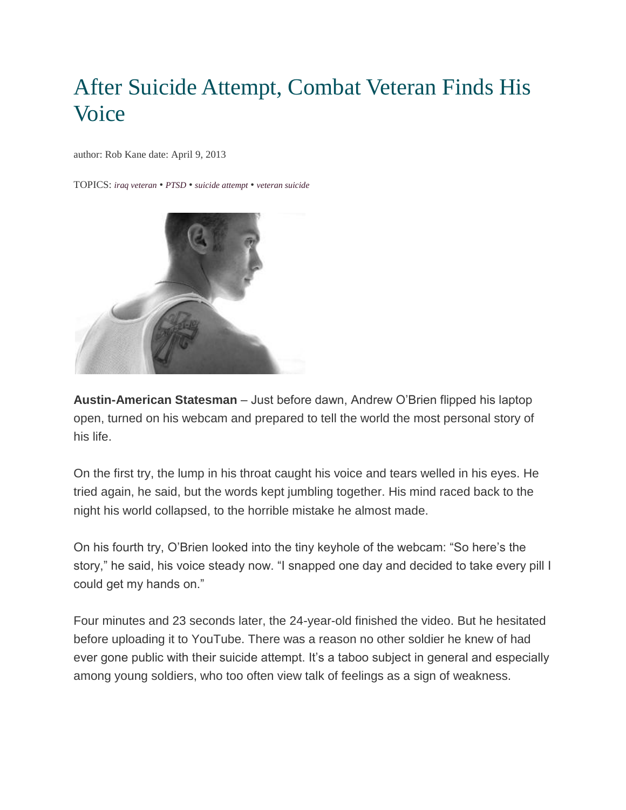# After Suicide Attempt, Combat Veteran Finds His Voice

author: Rob Kane date: April 9, 2013

TOPICS: *[iraq veteran](http://www.swords-to-plowshares.org/tag/iraq-veteran/)* • *[PTSD](http://www.swords-to-plowshares.org/tag/ptsd/)* • *[suicide attempt](http://www.swords-to-plowshares.org/tag/suicide-attempt/)* • *[veteran suicide](http://www.swords-to-plowshares.org/tag/veteran-suicide/)*



**Austin-American Statesman** – Just before dawn, Andrew O'Brien flipped his laptop open, turned on his webcam and prepared to tell the world the most personal story of his life.

On the first try, the lump in his throat caught his voice and tears welled in his eyes. He tried again, he said, but the words kept jumbling together. His mind raced back to the night his world collapsed, to the horrible mistake he almost made.

On his fourth try, O'Brien looked into the tiny keyhole of the webcam: "So here's the story," he said, his voice steady now. "I snapped one day and decided to take every pill I could get my hands on."

Four minutes and 23 seconds later, the 24-year-old finished the video. But he hesitated before uploading it to YouTube. There was a reason no other soldier he knew of had ever gone public with their suicide attempt. It's a taboo subject in general and especially among young soldiers, who too often view talk of feelings as a sign of weakness.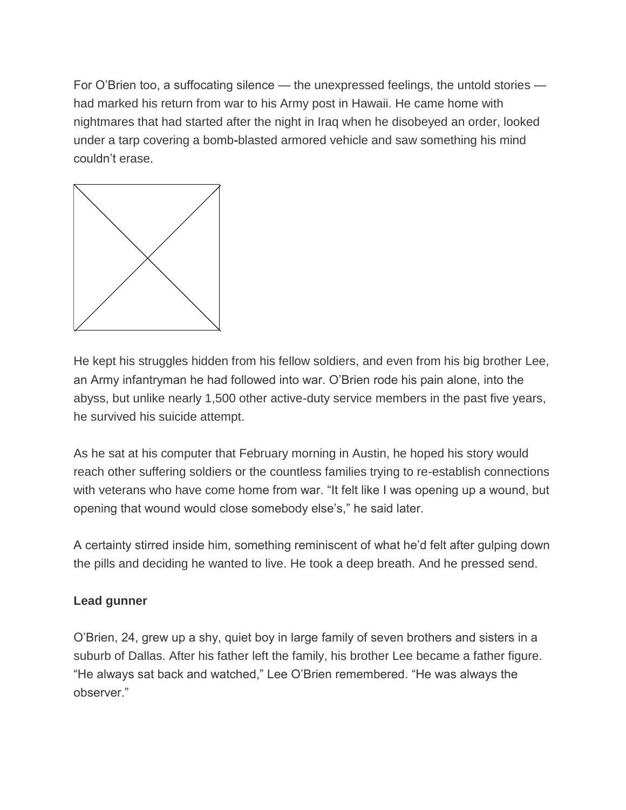For O'Brien too, a suffocating silence — the unexpressed feelings, the untold stories had marked his return from war to his Army post in Hawaii. He came home with nightmares that had started after the night in Iraq when he disobeyed an order, looked under a tarp covering a bomb**-**blasted armored vehicle and saw something his mind couldn't erase.



He kept his struggles hidden from his fellow soldiers, and even from his big brother Lee, an Army infantryman he had followed into war. O'Brien rode his pain alone, into the abyss, but unlike nearly 1,500 other active-duty service members in the past five years, he survived his suicide attempt.

As he sat at his computer that February morning in Austin, he hoped his story would reach other suffering soldiers or the countless families trying to re-establish connections with veterans who have come home from war. "It felt like I was opening up a wound, but opening that wound would close somebody else's," he said later.

A certainty stirred inside him, something reminiscent of what he'd felt after gulping down the pills and deciding he wanted to live. He took a deep breath. And he pressed send.

## **Lead gunner**

O'Brien, 24, grew up a shy, quiet boy in large family of seven brothers and sisters in a suburb of Dallas. After his father left the family, his brother Lee became a father figure. "He always sat back and watched," Lee O'Brien remembered. "He was always the observer."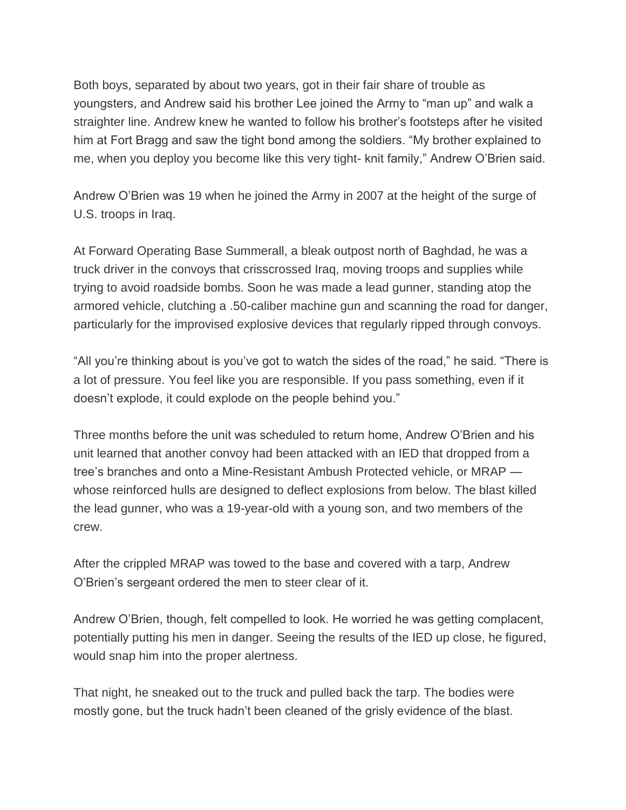Both boys, separated by about two years, got in their fair share of trouble as youngsters, and Andrew said his brother Lee joined the Army to "man up" and walk a straighter line. Andrew knew he wanted to follow his brother's footsteps after he visited him at Fort Bragg and saw the tight bond among the soldiers. "My brother explained to me, when you deploy you become like this very tight- knit family," Andrew O'Brien said.

Andrew O'Brien was 19 when he joined the Army in 2007 at the height of the surge of U.S. troops in Iraq.

At Forward Operating Base Summerall, a bleak outpost north of Baghdad, he was a truck driver in the convoys that crisscrossed Iraq, moving troops and supplies while trying to avoid roadside bombs. Soon he was made a lead gunner, standing atop the armored vehicle, clutching a .50-caliber machine gun and scanning the road for danger, particularly for the improvised explosive devices that regularly ripped through convoys.

"All you're thinking about is you've got to watch the sides of the road," he said. "There is a lot of pressure. You feel like you are responsible. If you pass something, even if it doesn't explode, it could explode on the people behind you."

Three months before the unit was scheduled to return home, Andrew O'Brien and his unit learned that another convoy had been attacked with an IED that dropped from a tree's branches and onto a Mine-Resistant Ambush Protected vehicle, or MRAP whose reinforced hulls are designed to deflect explosions from below. The blast killed the lead gunner, who was a 19-year-old with a young son, and two members of the crew.

After the crippled MRAP was towed to the base and covered with a tarp, Andrew O'Brien's sergeant ordered the men to steer clear of it.

Andrew O'Brien, though, felt compelled to look. He worried he was getting complacent, potentially putting his men in danger. Seeing the results of the IED up close, he figured, would snap him into the proper alertness.

That night, he sneaked out to the truck and pulled back the tarp. The bodies were mostly gone, but the truck hadn't been cleaned of the grisly evidence of the blast.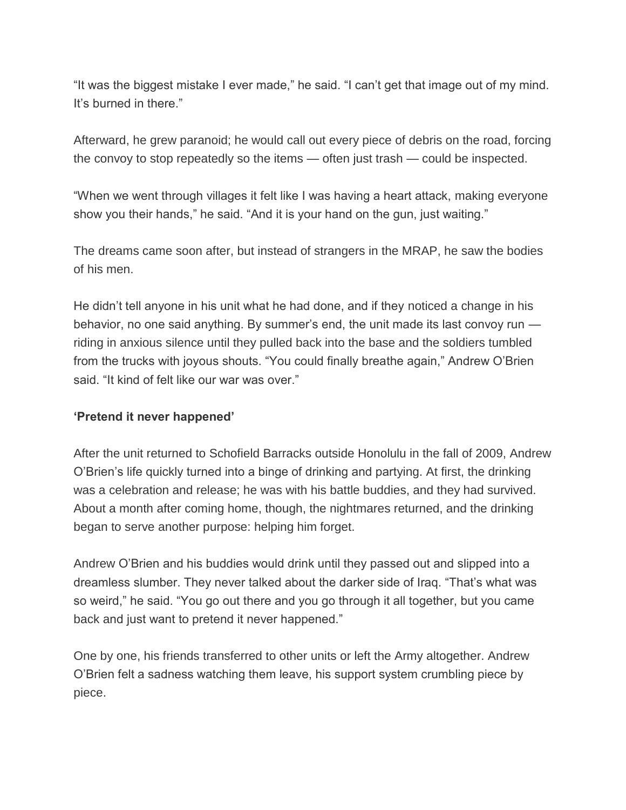"It was the biggest mistake I ever made," he said. "I can't get that image out of my mind. It's burned in there."

Afterward, he grew paranoid; he would call out every piece of debris on the road, forcing the convoy to stop repeatedly so the items — often just trash — could be inspected.

"When we went through villages it felt like I was having a heart attack, making everyone show you their hands," he said. "And it is your hand on the gun, just waiting."

The dreams came soon after, but instead of strangers in the MRAP, he saw the bodies of his men.

He didn't tell anyone in his unit what he had done, and if they noticed a change in his behavior, no one said anything. By summer's end, the unit made its last convoy run riding in anxious silence until they pulled back into the base and the soldiers tumbled from the trucks with joyous shouts. "You could finally breathe again," Andrew O'Brien said. "It kind of felt like our war was over."

## **'Pretend it never happened'**

After the unit returned to Schofield Barracks outside Honolulu in the fall of 2009, Andrew O'Brien's life quickly turned into a binge of drinking and partying. At first, the drinking was a celebration and release; he was with his battle buddies, and they had survived. About a month after coming home, though, the nightmares returned, and the drinking began to serve another purpose: helping him forget.

Andrew O'Brien and his buddies would drink until they passed out and slipped into a dreamless slumber. They never talked about the darker side of Iraq. "That's what was so weird," he said. "You go out there and you go through it all together, but you came back and just want to pretend it never happened."

One by one, his friends transferred to other units or left the Army altogether. Andrew O'Brien felt a sadness watching them leave, his support system crumbling piece by piece.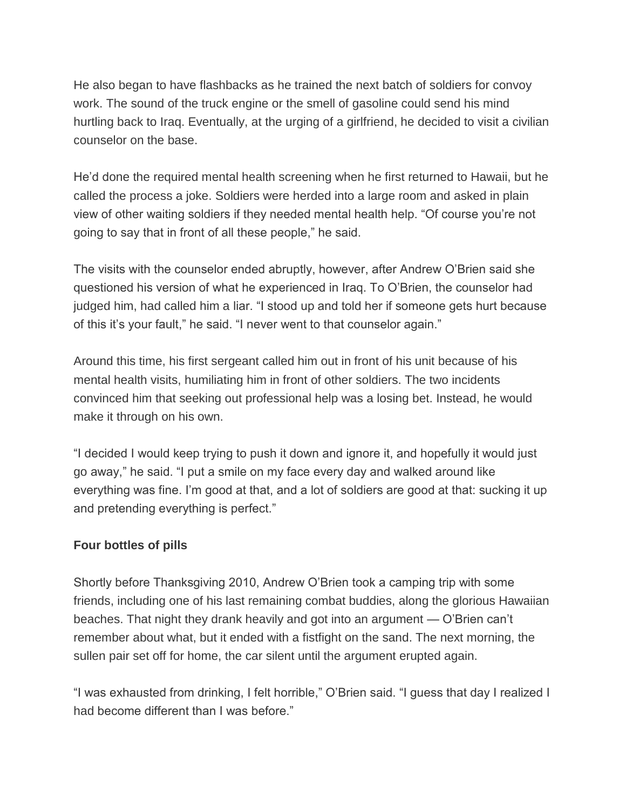He also began to have flashbacks as he trained the next batch of soldiers for convoy work. The sound of the truck engine or the smell of gasoline could send his mind hurtling back to Iraq. Eventually, at the urging of a girlfriend, he decided to visit a civilian counselor on the base.

He'd done the required mental health screening when he first returned to Hawaii, but he called the process a joke. Soldiers were herded into a large room and asked in plain view of other waiting soldiers if they needed mental health help. "Of course you're not going to say that in front of all these people," he said.

The visits with the counselor ended abruptly, however, after Andrew O'Brien said she questioned his version of what he experienced in Iraq. To O'Brien, the counselor had judged him, had called him a liar. "I stood up and told her if someone gets hurt because of this it's your fault," he said. "I never went to that counselor again."

Around this time, his first sergeant called him out in front of his unit because of his mental health visits, humiliating him in front of other soldiers. The two incidents convinced him that seeking out professional help was a losing bet. Instead, he would make it through on his own.

"I decided I would keep trying to push it down and ignore it, and hopefully it would just go away," he said. "I put a smile on my face every day and walked around like everything was fine. I'm good at that, and a lot of soldiers are good at that: sucking it up and pretending everything is perfect."

## **Four bottles of pills**

Shortly before Thanksgiving 2010, Andrew O'Brien took a camping trip with some friends, including one of his last remaining combat buddies, along the glorious Hawaiian beaches. That night they drank heavily and got into an argument — O'Brien can't remember about what, but it ended with a fistfight on the sand. The next morning, the sullen pair set off for home, the car silent until the argument erupted again.

"I was exhausted from drinking, I felt horrible," O'Brien said. "I guess that day I realized I had become different than I was before."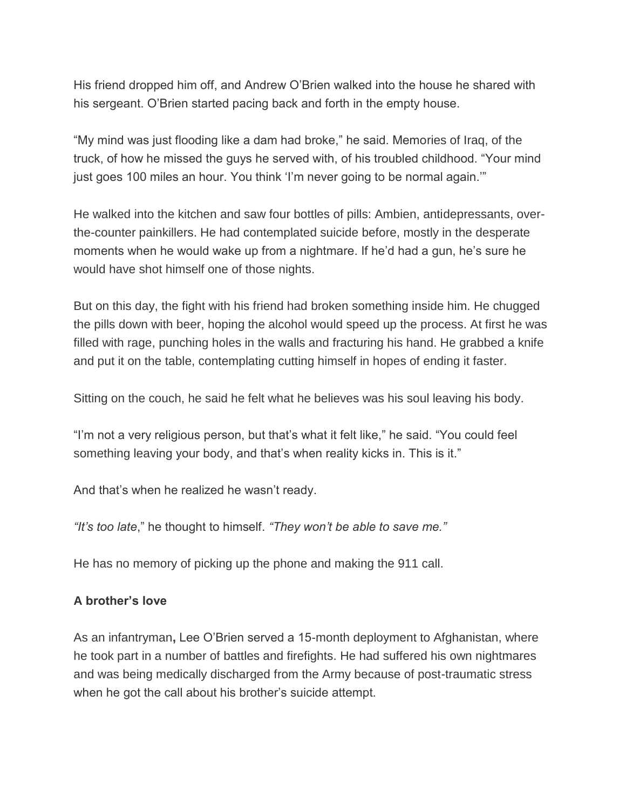His friend dropped him off, and Andrew O'Brien walked into the house he shared with his sergeant. O'Brien started pacing back and forth in the empty house.

"My mind was just flooding like a dam had broke," he said. Memories of Iraq, of the truck, of how he missed the guys he served with, of his troubled childhood. "Your mind just goes 100 miles an hour. You think 'I'm never going to be normal again.'"

He walked into the kitchen and saw four bottles of pills: Ambien, antidepressants, overthe-counter painkillers. He had contemplated suicide before, mostly in the desperate moments when he would wake up from a nightmare. If he'd had a gun, he's sure he would have shot himself one of those nights.

But on this day, the fight with his friend had broken something inside him. He chugged the pills down with beer, hoping the alcohol would speed up the process. At first he was filled with rage, punching holes in the walls and fracturing his hand. He grabbed a knife and put it on the table, contemplating cutting himself in hopes of ending it faster.

Sitting on the couch, he said he felt what he believes was his soul leaving his body.

"I'm not a very religious person, but that's what it felt like," he said. "You could feel something leaving your body, and that's when reality kicks in. This is it."

And that's when he realized he wasn't ready.

*"It's too late*," he thought to himself. *"They won't be able to save me."*

He has no memory of picking up the phone and making the 911 call.

## **A brother's love**

As an infantryman**,** Lee O'Brien served a 15-month deployment to Afghanistan, where he took part in a number of battles and firefights. He had suffered his own nightmares and was being medically discharged from the Army because of post-traumatic stress when he got the call about his brother's suicide attempt.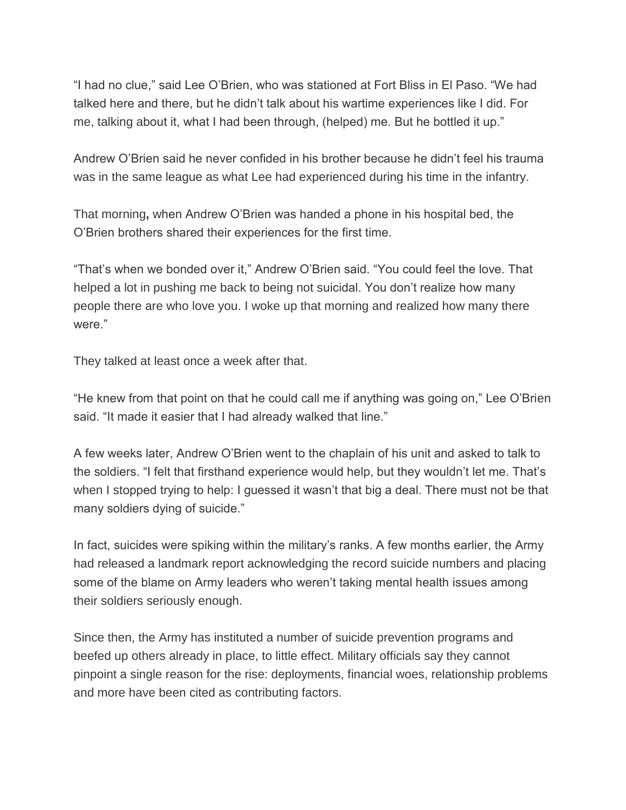"I had no clue," said Lee O'Brien, who was stationed at Fort Bliss in El Paso. "We had talked here and there, but he didn't talk about his wartime experiences like I did. For me, talking about it, what I had been through, (helped) me. But he bottled it up."

Andrew O'Brien said he never confided in his brother because he didn't feel his trauma was in the same league as what Lee had experienced during his time in the infantry.

That morning**,** when Andrew O'Brien was handed a phone in his hospital bed, the O'Brien brothers shared their experiences for the first time.

"That's when we bonded over it," Andrew O'Brien said. "You could feel the love. That helped a lot in pushing me back to being not suicidal. You don't realize how many people there are who love you. I woke up that morning and realized how many there were."

They talked at least once a week after that.

"He knew from that point on that he could call me if anything was going on," Lee O'Brien said. "It made it easier that I had already walked that line."

A few weeks later, Andrew O'Brien went to the chaplain of his unit and asked to talk to the soldiers. "I felt that firsthand experience would help, but they wouldn't let me. That's when I stopped trying to help: I guessed it wasn't that big a deal. There must not be that many soldiers dying of suicide."

In fact, suicides were spiking within the military's ranks. A few months earlier, the Army had released a landmark report acknowledging the record suicide numbers and placing some of the blame on Army leaders who weren't taking mental health issues among their soldiers seriously enough.

Since then, the Army has instituted a number of suicide prevention programs and beefed up others already in place, to little effect. Military officials say they cannot pinpoint a single reason for the rise: deployments, financial woes, relationship problems and more have been cited as contributing factors.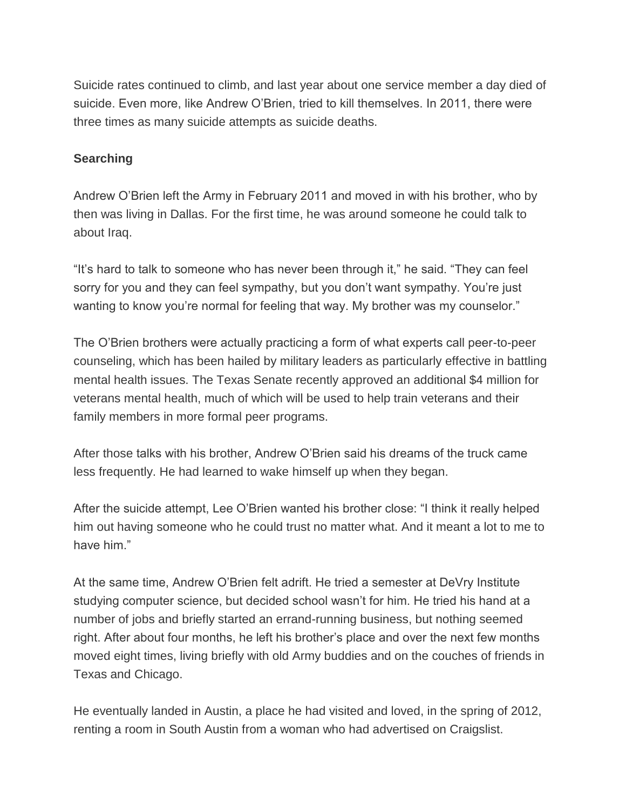Suicide rates continued to climb, and last year about one service member a day died of suicide. Even more, like Andrew O'Brien, tried to kill themselves. In 2011, there were three times as many suicide attempts as suicide deaths.

#### **Searching**

Andrew O'Brien left the Army in February 2011 and moved in with his brother, who by then was living in Dallas. For the first time, he was around someone he could talk to about Iraq.

"It's hard to talk to someone who has never been through it," he said. "They can feel sorry for you and they can feel sympathy, but you don't want sympathy. You're just wanting to know you're normal for feeling that way. My brother was my counselor."

The O'Brien brothers were actually practicing a form of what experts call peer-to-peer counseling, which has been hailed by military leaders as particularly effective in battling mental health issues. The Texas Senate recently approved an additional \$4 million for veterans mental health, much of which will be used to help train veterans and their family members in more formal peer programs.

After those talks with his brother, Andrew O'Brien said his dreams of the truck came less frequently. He had learned to wake himself up when they began.

After the suicide attempt, Lee O'Brien wanted his brother close: "I think it really helped him out having someone who he could trust no matter what. And it meant a lot to me to have him."

At the same time, Andrew O'Brien felt adrift. He tried a semester at DeVry Institute studying computer science, but decided school wasn't for him. He tried his hand at a number of jobs and briefly started an errand-running business, but nothing seemed right. After about four months, he left his brother's place and over the next few months moved eight times, living briefly with old Army buddies and on the couches of friends in Texas and Chicago.

He eventually landed in Austin, a place he had visited and loved, in the spring of 2012, renting a room in South Austin from a woman who had advertised on Craigslist.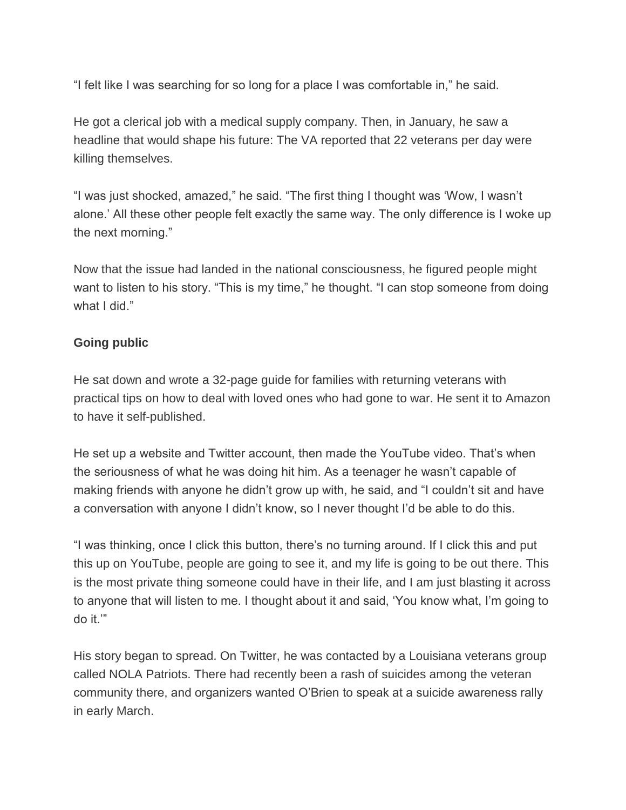"I felt like I was searching for so long for a place I was comfortable in," he said.

He got a clerical job with a medical supply company. Then, in January, he saw a headline that would shape his future: The VA reported that 22 veterans per day were killing themselves.

"I was just shocked, amazed," he said. "The first thing I thought was 'Wow, I wasn't alone.' All these other people felt exactly the same way. The only difference is I woke up the next morning."

Now that the issue had landed in the national consciousness, he figured people might want to listen to his story. "This is my time," he thought. "I can stop someone from doing what I did."

## **Going public**

He sat down and wrote a 32-page guide for families with returning veterans with practical tips on how to deal with loved ones who had gone to war. He sent it to Amazon to have it self-published.

He set up a website and Twitter account, then made the YouTube video. That's when the seriousness of what he was doing hit him. As a teenager he wasn't capable of making friends with anyone he didn't grow up with, he said, and "I couldn't sit and have a conversation with anyone I didn't know, so I never thought I'd be able to do this.

"I was thinking, once I click this button, there's no turning around. If I click this and put this up on YouTube, people are going to see it, and my life is going to be out there. This is the most private thing someone could have in their life, and I am just blasting it across to anyone that will listen to me. I thought about it and said, 'You know what, I'm going to do it.'"

His story began to spread. On Twitter, he was contacted by a Louisiana veterans group called NOLA Patriots. There had recently been a rash of suicides among the veteran community there, and organizers wanted O'Brien to speak at a suicide awareness rally in early March.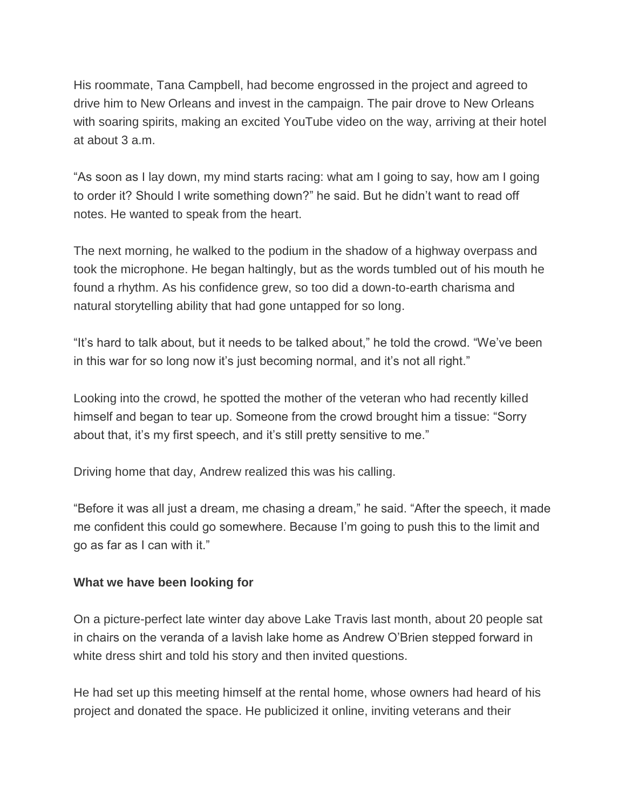His roommate, Tana Campbell, had become engrossed in the project and agreed to drive him to New Orleans and invest in the campaign. The pair drove to New Orleans with soaring spirits, making an excited YouTube video on the way, arriving at their hotel at about 3 a.m.

"As soon as I lay down, my mind starts racing: what am I going to say, how am I going to order it? Should I write something down?" he said. But he didn't want to read off notes. He wanted to speak from the heart.

The next morning, he walked to the podium in the shadow of a highway overpass and took the microphone. He began haltingly, but as the words tumbled out of his mouth he found a rhythm. As his confidence grew, so too did a down-to-earth charisma and natural storytelling ability that had gone untapped for so long.

"It's hard to talk about, but it needs to be talked about," he told the crowd. "We've been in this war for so long now it's just becoming normal, and it's not all right."

Looking into the crowd, he spotted the mother of the veteran who had recently killed himself and began to tear up. Someone from the crowd brought him a tissue: "Sorry about that, it's my first speech, and it's still pretty sensitive to me."

Driving home that day, Andrew realized this was his calling.

"Before it was all just a dream, me chasing a dream," he said. "After the speech, it made me confident this could go somewhere. Because I'm going to push this to the limit and go as far as I can with it."

#### **What we have been looking for**

On a picture-perfect late winter day above Lake Travis last month, about 20 people sat in chairs on the veranda of a lavish lake home as Andrew O'Brien stepped forward in white dress shirt and told his story and then invited questions.

He had set up this meeting himself at the rental home, whose owners had heard of his project and donated the space. He publicized it online, inviting veterans and their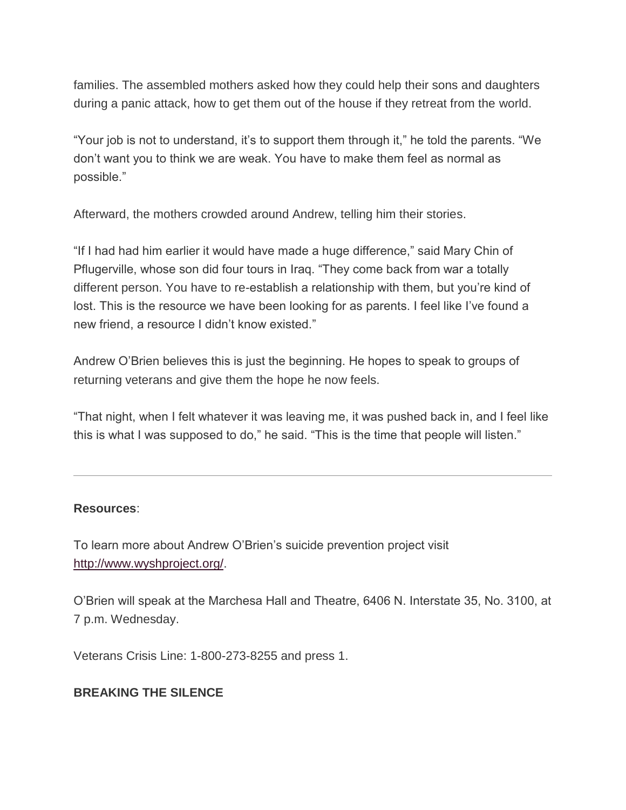families. The assembled mothers asked how they could help their sons and daughters during a panic attack, how to get them out of the house if they retreat from the world.

"Your job is not to understand, it's to support them through it," he told the parents. "We don't want you to think we are weak. You have to make them feel as normal as possible."

Afterward, the mothers crowded around Andrew, telling him their stories.

"If I had had him earlier it would have made a huge difference," said Mary Chin of Pflugerville, whose son did four tours in Iraq. "They come back from war a totally different person. You have to re-establish a relationship with them, but you're kind of lost. This is the resource we have been looking for as parents. I feel like I've found a new friend, a resource I didn't know existed."

Andrew O'Brien believes this is just the beginning. He hopes to speak to groups of returning veterans and give them the hope he now feels.

"That night, when I felt whatever it was leaving me, it was pushed back in, and I feel like this is what I was supposed to do," he said. "This is the time that people will listen."

## **Resources**:

To learn more about Andrew O'Brien's suicide prevention project visit [http://www.wyshproject.org/.](http://www.wyshproject.org/)

O'Brien will speak at the Marchesa Hall and Theatre, 6406 N. Interstate 35, No. 3100, at 7 p.m. Wednesday.

Veterans Crisis Line: 1-800-273-8255 and press 1.

## **BREAKING THE SILENCE**